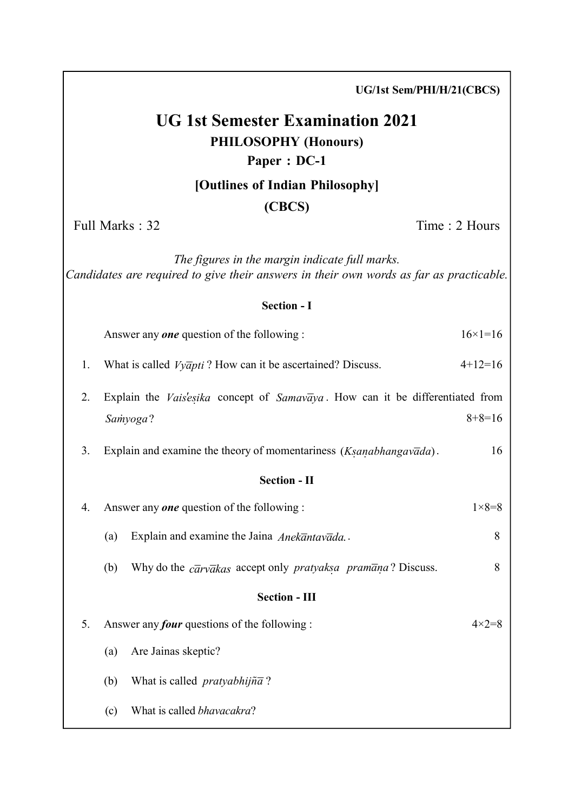|    | UG/1st Sem/PHI/H/21(CBCS)                                                                                                                 |                    |
|----|-------------------------------------------------------------------------------------------------------------------------------------------|--------------------|
|    | <b>UG 1st Semester Examination 2021</b><br><b>PHILOSOPHY (Honours)</b><br>Paper: DC-1                                                     |                    |
|    | [Outlines of Indian Philosophy]                                                                                                           |                    |
|    | (CBCS)                                                                                                                                    |                    |
|    | Full Marks: 32                                                                                                                            | Time: 2 Hours      |
|    | The figures in the margin indicate full marks.<br>Candidates are required to give their answers in their own words as far as practicable. |                    |
|    | <b>Section - I</b>                                                                                                                        |                    |
|    | Answer any <b>one</b> question of the following :                                                                                         | $16 \times 1 = 16$ |
| 1. | What is called $Vy\bar{q}pti$ ? How can it be ascertained? Discuss.                                                                       | $4+12=16$          |
| 2. | Explain the Vais'esika concept of Samavaya. How can it be differentiated from                                                             |                    |
|    | Samyoga?                                                                                                                                  | $8+8=16$           |
| 3. | Explain and examine the theory of momentariness (Ksanabhangavada).                                                                        | 16                 |
|    | <b>Section - II</b>                                                                                                                       |                    |
| 4. | Answer any <b>one</b> question of the following :                                                                                         | $1 \times 8 = 8$   |
|    | Explain and examine the Jaina Anekantavada.<br>(a)                                                                                        | 8                  |
|    | Why do the $c\bar{a}rv\bar{a}kas$ accept only <i>pratyaksa pramana</i> ? Discuss.<br>(b)                                                  | 8                  |
|    | <b>Section - III</b>                                                                                                                      |                    |
| 5. | Answer any <i>four</i> questions of the following :                                                                                       | $4 \times 2 = 8$   |
|    | Are Jainas skeptic?<br>(a)                                                                                                                |                    |
|    | What is called <i>pratyabhijna</i> ?<br>(b)                                                                                               |                    |
|    | What is called bhavacakra?<br>(c)                                                                                                         |                    |